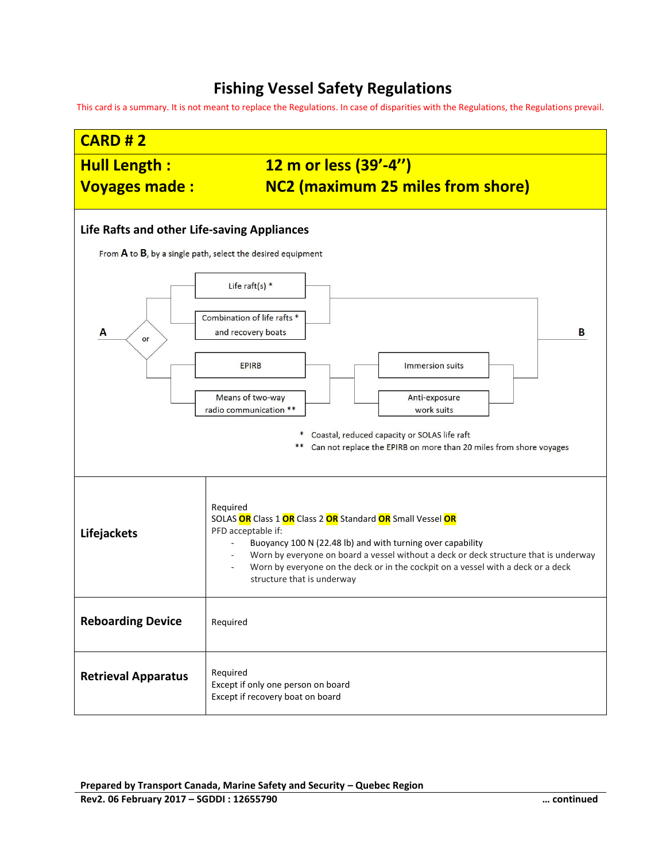## **Fishing Vessel Safety Regulations**

This card is a summary. It is not meant to replace the Regulations. In case of disparities with the Regulations, the Regulations prevail.